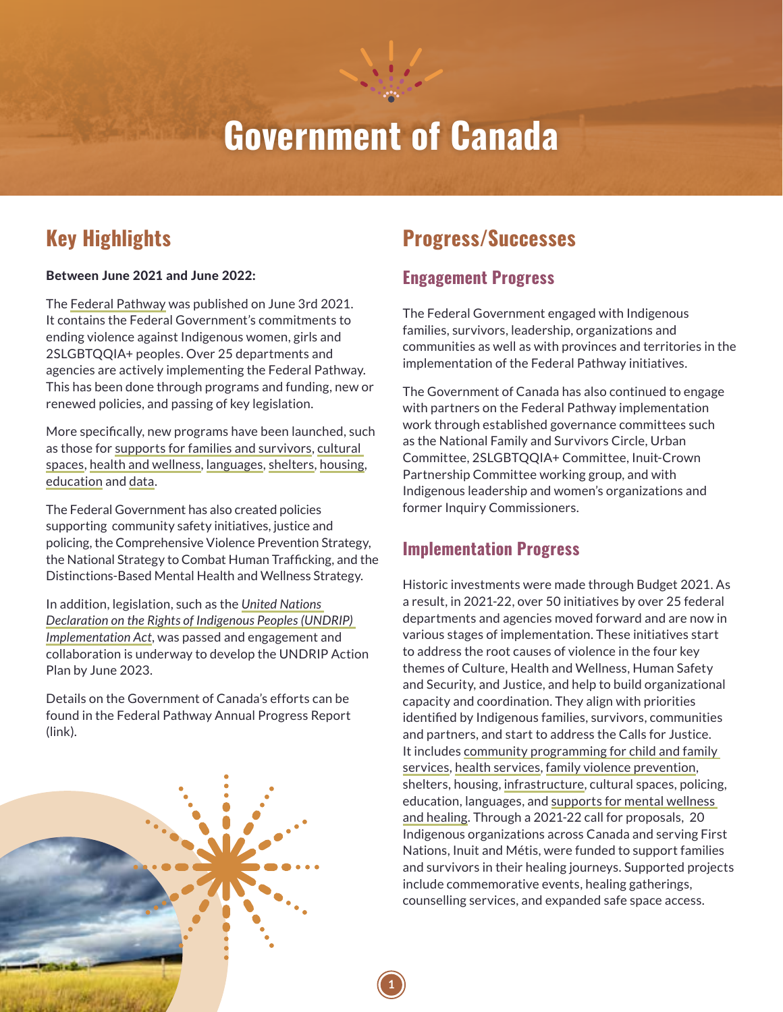# **Government of Canada**

## **Key Highlights**

#### Between June 2021 and June 2022:

The [Federal Pathway](https://www.rcaanc-cirnac.gc.ca/eng/1622233286270/1622233321912) was published on June 3rd 2021. It contains the Federal Government's commitments to ending violence against Indigenous women, girls and 2SLGBTQQIA+ peoples. Over 25 departments and agencies are actively implementing the Federal Pathway. This has been done through programs and funding, new or renewed policies, and passing of key legislation.

More specifically, new programs have been launched, such [as those for supports for families and survivors, cultural](https://www.rcaanc-cirnac.gc.ca/eng/1628786076040/1628786094489) spaces, [health and wellness](https://www.sac-isc.gc.ca/eng/1576089278958/1576089333975), [languages,](https://www.canada.ca/en/canadian-heritage/services/funding/aboriginal-peoples/languages.html) [shelters,](https://www.sac-isc.gc.ca/eng/1636116627810/1636116769651) [housing](https://www.cmhc-schl.gc.ca/en/professionals/project-funding-and-mortgage-financing/funding-programs/all-funding-programs/rapid-housing), [education](https://www.sac-isc.gc.ca/eng/1415377531020/1531401688567) and [data.](https://www.rcaanc-cirnac.gc.ca/eng/1628687298289/1628687319531)

The Federal Government has also created policies supporting [community safety initiatives,](https://www.publicsafety.gc.ca/cnt/cntrng-crm/crrctns/cmmnt-sft-cntrbtn-prgrm-en.aspx) [justice and](https://www.publicsafety.gc.ca/cnt/cntrng-crm/plcng/brgnl-plcng/index-en.aspx)  [policing](https://www.publicsafety.gc.ca/cnt/cntrng-crm/plcng/brgnl-plcng/index-en.aspx), the Comprehensive Violence Prevention Strategy, the [National Strategy to Combat Human Trafficking](https://www.publicsafety.gc.ca/cnt/rsrcs/pblctns/2019-ntnl-strtgy-hmnn-trffc/index-en.aspx), and the [Distinctions-Based Mental Health and Wellness Strategy](https://www.sac-isc.gc.ca/eng/1576089278958/1576089333975).

In addition, legislation, such as the *United Nations [Declaration on the Rights of Indigenous Peoples \(UNDRIP\)](https://laws-lois.justice.gc.ca/eng/acts/u-2.2/) Implementation Act*, was passed and engagement and collaboration is underway to develop the UNDRIP Action Plan by June 2023.

Details on the Government of Canada's efforts can be found in the Federal Pathway Annual Progress Report (link).



## **Progress/Successes**

### **Engagement Progress**

The Federal Government engaged with Indigenous families, survivors, leadership, organizations and communities as well as with provinces and territories in the implementation of the Federal Pathway initiatives.

The Government of Canada has also continued to engage with partners on the Federal Pathway implementation work through established governance committees such as the National Family and Survivors Circle, Urban Committee, 2SLGBTQQIA+ Committee, Inuit-Crown Partnership Committee working group, and with Indigenous leadership and women's organizations and former Inquiry Commissioners.

### **Implementation Progress**

Historic investments were made through Budget 2021. As a result, in 2021-22, over 50 initiatives by over 25 federal departments and agencies moved forward and are now in various stages of implementation. These initiatives start to address the root causes of violence in the four key themes of Culture, Health and Wellness, Human Safety and Security, and Justice, and help to build organizational capacity and coordination. They align with priorities identified by Indigenous families, survivors, communities and partners, and start to address the Calls for Justice. [It includes community programming for child and family](https://www.sac-isc.gc.ca/eng/1100100035204/1533307858805) services, [health services,](https://www.sac-isc.gc.ca/eng/1569861171996/1569861324236) [family violence prevention](https://www.sac-isc.gc.ca/eng/1100100035253/1533304683142), shelters, housing, [infrastructure](https://www.sac-isc.gc.ca/eng/1100100010567/1521125219538), cultural spaces, policing, [education, languages, and supports for mental wellness](https://www.sac-isc.gc.ca/eng/1576089278958/1576089333975) and healing. Through a 2021-22 call for proposals, 20 Indigenous organizations across Canada and serving First Nations, Inuit and Métis, were funded to support families and survivors in their healing journeys. Supported projects include commemorative events, healing gatherings, counselling services, and expanded safe space access.